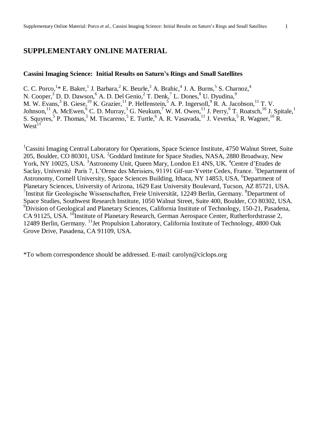## **SUPPLEMENTARY ONLINE MATERIAL**

## **Cassini Imaging Science: Initial Results on Saturnís Rings and Small Satellites**

C. C. Porco, <sup>1</sup>\* E. Baker, <sup>1</sup> J. Barbara, <sup>2</sup> K. Beurle, <sup>3</sup> A. Brahic, <sup>4</sup> J. A. Burns, <sup>5</sup> S. Charnoz, <sup>4</sup> N. Cooper,<sup>3</sup> D. D. Dawson,<sup>6</sup> A. D. Del Genio,<sup>2</sup> T. Denk,<sup>7</sup> L. Dones,<sup>8</sup> U. Dyudina,<sup>9</sup> M. W. Evans,<sup>3</sup> B. Giese,<sup>10</sup> K. Grazier,<sup>11</sup> P. Helfenstein,<sup>5</sup> A. P. Ingersoll,<sup>9</sup> R. A. Jacobson,<sup>11</sup> T. V. Johnson,  $^{11}$  A. McEwen,  $^{6}$  C. D. Murray,  $^{3}$  G. Neukum,  $^{7}$  W. M. Owen,  $^{11}$  J. Perry,  $^{6}$  T. Roatsch,  $^{10}$  J. Spitale,  $^{1}$ S. Squyres,<sup>5</sup> P. Thomas,<sup>5</sup> M. Tiscareno,<sup>5</sup> E. Turtle,<sup>6</sup> A. R. Vasavada,<sup>11</sup> J. Veverka,<sup>5</sup> R. Wagner,<sup>10</sup> R.  $West^{11}$ 

<sup>1</sup>Cassini Imaging Central Laboratory for Operations, Space Science Institute, 4750 Walnut Street, Suite 205, Boulder, CO 80301, USA. <sup>2</sup>Goddard Institute for Space Studies, NASA, 2880 Broadway, New York, NY 10025, USA. <sup>3</sup>Astronomy Unit, Queen Mary, London E1 4NS, UK. <sup>4</sup>Centre d'Etudes de Saclay, Université Paris 7, L'Orme des Merisiers, 91191 Gif-sur-Yvette Cedex, France. <sup>5</sup>Department of Astronomy, Cornell University, Space Sciences Building, Ithaca, NY 14853, USA. <sup>6</sup>Department of Planetary Sciences, University of Arizona, 1629 East University Boulevard, Tucson, AZ 85721, USA.<br><sup>7</sup>Institut für Geologische Wissenschaften, Freie Universität, 12249 Berlin, Germany. <sup>8</sup>Department of Space Studies, Southwest Research Institute, <sup>1050</sup> Walnut Street, Suite 400, Boulder, CO 80302, USA. <sup>9</sup>Division of Geological and Planetary Sciences, California Institute of Technology, 150-21, Pasadena, CA 91125, USA. <sup>10</sup>Institute of Planetary Research, German Aerospace Center, Rutherfordstrasse 2, 12489 Berlin, Germany. <sup>11</sup>Jet Propulsion Laboratory, California Institute of Technology, 4800 Oak Grove Drive, Pasadena, CA 91109, USA.

\*To whom correspondence should be addressed. E-mail: [carolyn@ciclops.org](mailto:carolyn@ciclops.org)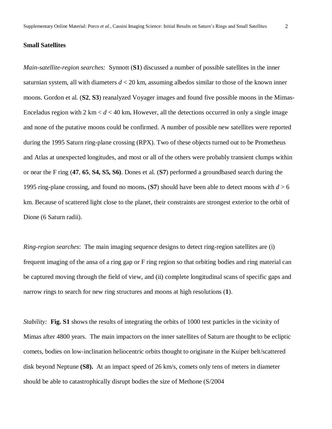#### **Small Satellites**

*Main-satellite-region searches:* Synnott (**S1**) discussed a number of possible satellites in the inner saturnian system, all with diameters  $d < 20$  km, assuming albedos similar to those of the known inner moons. Gordon et al. (**S2**, **S3**) reanalyzed Voyager images and found five possible moons in the Mimas-Enceladus region with  $2 \text{ km} < d < 40 \text{ km}$ . However, all the detections occurred in only a single image and none of the putative moons could be confirmed. A number of possible new satellites were reported during the 1995 Saturn ring-plane crossing (RPX). Two of these objects turned out to be Prometheus and Atlas at unexpected longitudes, and most or all of the others were probably transient clumps within or near the F ring (**47**, **65**, **S4, S5, S6)**. Dones et al. (**S7**) performed a groundbased search during the 1995 ring-plane crossing, and found no moons**.** (**S7**) should have been able to detect moons with *d* > 6 km. Because of scattered light close to the planet, their constraints are strongest exterior to the orbit of Dione (6 Saturn radii).

*Ring-region searches*: The main imaging sequence designs to detect ring-region satellites are (i) frequent imaging of the ansa of a ring gap or F ring region so that orbiting bodies and ring material can be captured moving through the field of view, and (ii) complete longitudinal scans of specific gaps and narrow rings to search for new ring structures and moons at high resolutions (**1**).

*Stability:* **Fig. S1** shows the results of integrating the orbits of 1000 test particles in the vicinity of Mimas after 4800 years. The main impactors on the inner satellites of Saturn are thought to be ecliptic comets, bodies on low-inclination heliocentric orbits thought to originate in the Kuiper belt/scattered disk beyond Neptune **(S8).** At an impact speed of 26 km/s, comets only tens of meters in diameter should be able to catastrophically disrupt bodies the size of Methone (S/2004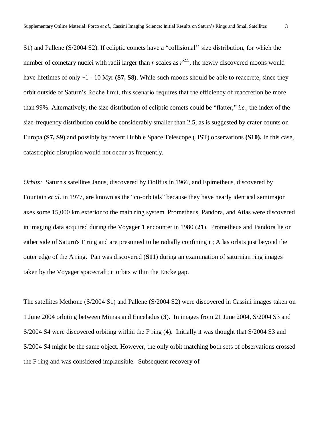S1) and Pallene (S/2004 S2). If ecliptic comets have a "collisional" size distribution, for which the number of cometary nuclei with radii larger than  $r$  scales as  $r^{2.5}$ , the newly discovered moons would have lifetimes of only ~1 - 10 Myr **(S7, S8)**. While such moons should be able to reaccrete, since they orbit outside of Saturn's Roche limit, this scenario requires that the efficiency of reaccretion be more than 99%. Alternatively, the size distribution of ecliptic comets could be "flatter," *i.e.*, the index of the size-frequency distribution could be considerably smaller than 2.5, as is suggested by crater counts on Europa **(S7, S9)** and possibly by recent Hubble Space Telescope (HST) observations **(S10).** In this case, catastrophic disruption would not occur as frequently.

*Orbits:* Saturn's satellites Janus, discovered by Dollfus in 1966, and Epimetheus, discovered by Fountain *et al.* in 1977, are known as the "co-orbitals" because they have nearly identical semimajor axes some 15,000 km exterior to the main ring system. Prometheus, Pandora, and Atlas were discovered in imaging data acquired during the Voyager 1 encounter in 1980 (**21**). Prometheus and Pandora lie on either side of Saturn's F ring and are presumed to be radially confining it; Atlas orbits just beyond the outer edge of the A ring. Pan was discovered (**S11**) during an examination of saturnian ring images taken by the Voyager spacecraft; it orbits within the Encke gap.

The satellites Methone (S/2004 S1) and Pallene (S/2004 S2) were discovered in Cassini images taken on 1 June 2004 orbiting between Mimas and Enceladus (**3**). In images from 21 June 2004, S/2004 S3 and S/2004 S4 were discovered orbiting within the F ring (**4**). Initially itwas thought that S/2004 S3 and S/2004 S4 might be the same object. However, the only orbit matching both sets of observations crossed the F ring and was considered implausible. Subsequent recovery of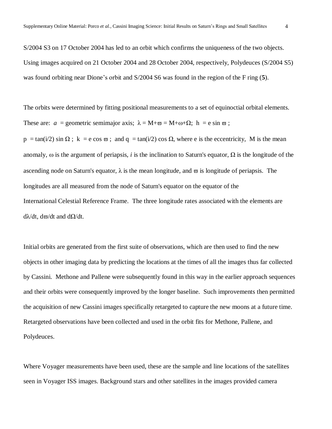S/2004 S3 on 17 October 2004 has led to an orbit which confirms the uniqueness of the two objects. Using images acquired on 21 October 2004 and 28 October 2004, respectively, Polydeuces (S/2004 S5) was found orbiting near Dione's orbit and S/2004 S6 was found in the region of the F ring (5).

The orbits were determined by fitting positional measurements to a set of equinoctial orbital elements. These are: *a* = geometric semimajor axis;  $\lambda = M + \varpi = M + \omega + \Omega$ ; h = e sin  $\varpi$ ;  $p = \tan(i/2) \sin \Omega$ ;  $k = e \cos \varpi$ ; and  $q = \tan(i/2) \cos \Omega$ , where e is the eccentricity, M is the mean anomaly,  $\omega$  is the argument of periapsis, *i* is the inclination to Saturn's equator,  $\Omega$  is the longitude of the ascending node on Saturn's equator,  $\lambda$  is the mean longitude, and  $\varpi$  is longitude of periapsis. The longitudes are all measured from the node of Saturn's equator on the equator of the International Celestial Reference Frame. The three longitude rates associated with the elements are  $d\lambda/dt$ ,  $d\varpi/dt$  and  $d\Omega/dt$ .

Initial orbits are generated from the first suite of observations, which are then used to find the new objects in other imaging data by predicting the locations at the times of all the images thus far collected by Cassini. Methone and Pallene were subsequently found in this way in the earlier approach sequences and their orbits were consequently improved by the longer baseline. Such improvements then permitted the acquisition of new Cassini images specifically retargeted to capture the new moons at a future time. Retargeted observations have been collected and used in the orbit fits for Methone, Pallene, and Polydeuces.

Where Voyager measurements have been used, these are the sample and line locations of the satellites seen in Voyager ISS images. Background stars and other satellites in the images provided camera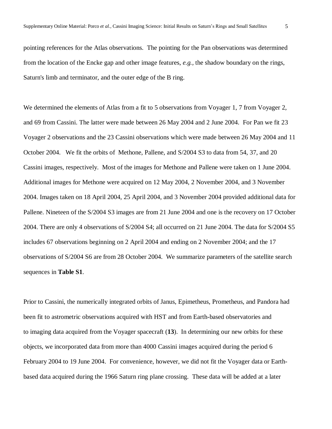pointing references for the Atlas observations. The pointing for the Pan observations was determined from the location of the Encke gap and other image features, *e.g.,* the shadow boundary on the rings, Saturn's limb and terminator, and the outer edge of the B ring.

We determined the elements of Atlas from a fit to 5 observations from Voyager 1, 7 from Voyager 2, and 69 from Cassini. The latter were made between 26 May 2004 and 2 June 2004. For Pan we fit 23 Voyager 2 observations and the 23 Cassini observations which were made between 26 May 2004 and 11 October 2004. We fit the orbits of Methone, Pallene, and S/2004 S3 to data from 54, 37, and 20 Cassini images, respectively. Most of the images for Methone and Pallene were taken on 1 June 2004. Additional images for Methone were acquired on 12 May 2004, 2 November 2004, and 3 November 2004. Images taken on 18 April 2004, 25 April 2004, and 3 November 2004 provided additional data for Pallene. Nineteen of the S/2004 S3 images are from 21 June 2004 and one is the recovery on 17 October 2004. There are only 4 observations of S/2004 S4; all occurred on 21 June 2004. The data for S/2004 S5 includes 67 observations beginning on 2 April 2004 and ending on 2 November 2004; and the 17 observations of S/2004 S6 are from 28 October 2004. We summarize parameters of the satellite search sequences in **Table S1**.

Prior to Cassini, the numerically integrated orbits of Janus, Epimetheus, Prometheus, and Pandora had been fit to astrometric observations acquired with HST and from Earth-based observatories and to imaging data acquired from the Voyager spacecraft (**13**). In determining our new orbits for these objects, we incorporated data from more than 4000 Cassini images acquired during the period 6 February 2004 to 19 June 2004. For convenience, however, we did not fit the Voyager data or Earthbased data acquired during the 1966 Saturn ring plane crossing. These data will be added at a later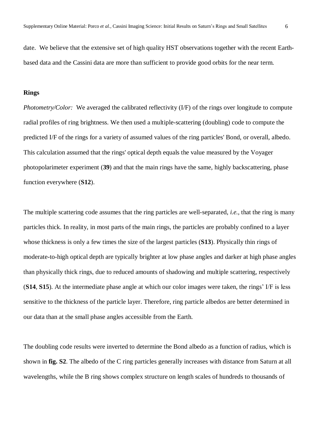date. We believe that the extensive set of high quality HST observations together with the recent Earthbased data and the Cassini data are more than sufficient to provide good orbits for the near term.

#### **Rings**

*Photometry/Color:* We averaged the calibrated reflectivity (I/F) of the rings over longitude to compute radial profiles of ring brightness. We then used a multiple-scattering (doubling) code to compute the predicted I/F of the rings for a variety of assumed values of the ring particles' Bond, or overall, albedo. This calculation assumed that the rings' optical depth equals the value measured by the Voyager photopolarimeter experiment (**39**) and that the main rings have the same, highly backscattering, phase function everywhere (**S12**).

The multiple scattering code assumes that the ring particles are well-separated, *i.e.,* that the ring is many particles thick. In reality, in most parts of the main rings, the particles are probably confined to a layer whose thickness is only a few times the size of the largest particles (**S13**). Physically thin rings of moderate-to-high optical depth are typically brighter at low phase angles and darker at high phase angles than physically thick rings, due to reduced amounts of shadowing and multiple scattering, respectively (**S14**, **S15**). At the intermediate phase angle at which our color images were taken, the rings' I/F is less sensitive to the thickness of the particle layer. Therefore, ring particle albedos are better determined in our data than at the small phase angles accessible from the Earth.

The doubling code results were inverted to determine the Bond albedo as a function of radius, which is shown in **fig. S2**. The albedo of the C ring particles generally increases with distance from Saturn at all wavelengths, while the B ring shows complex structure on length scales of hundreds to thousands of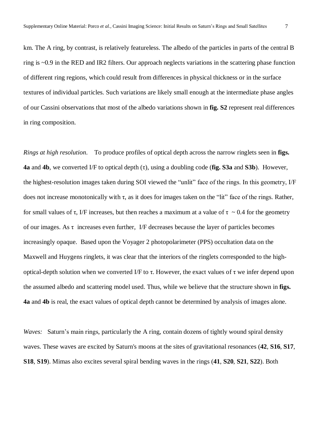km. The A ring, by contrast, is relatively featureless. The albedo of the particles in parts of the central B ring is ~0.9 in the RED and IR2 filters. Our approach neglects variations in the scattering phase function of different ring regions, which could result from differences in physical thickness or in the surface textures of individual particles. Such variations are likely small enough at the intermediate phase angles of our Cassini observations that most of the albedo variations shown in **fig. S2** represent real differences in ring composition.

*Rings at high resolution*. To produce profiles of optical depth across the narrow ringlets seen in **figs. 4a** and **4b**, we converted I/F to optical depth  $(\tau)$ , using a doubling code (**fig.** S3a and S3b). However, the highest-resolution images taken during SOI viewed the "unlit" face of the rings. In this geometry, I/F does not increase monotonically with  $\tau$ , as it does for images taken on the "lit" face of the rings. Rather, for small values of  $\tau$ , I/F increases, but then reaches a maximum at a value of  $\tau \sim 0.4$  for the geometry of our images. As  $\tau$  increases even further, I/F decreases because the layer of particles becomes increasingly opaque. Based upon the Voyager 2 photopolarimeter (PPS) occultation data on the Maxwell and Huygens ringlets, it was clear that the interiors of the ringlets corresponded to the highoptical-depth solution when we converted I/F to  $\tau$ . However, the exact values of  $\tau$  we infer depend upon the assumed albedo and scattering model used. Thus, while we believe that the structure shown in **figs. 4a** and **4b** is real, the exact values of optical depth cannot be determined by analysis of images alone.

*Waves:* Saturn's main rings, particularly the A ring, contain dozens of tightly wound spiral density waves. These waves are excited by Saturn's moons at the sites of gravitational resonances (**42**, **S16**, **S17**, **S18**, **S19**). Mimas also excites several spiral bending waves in the rings (**41**, **S20**, **S21**, **S22**). Both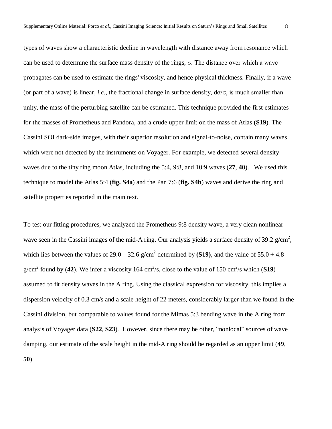types of waves show a characteristic decline in wavelength with distance away from resonance which can be used to determine the surface mass density of the rings,  $\sigma$ . The distance over which a wave propagates can be used to estimate the rings' viscosity, and hence physical thickness. Finally, if a wave (or part of a wave) is linear, *i.e.*, the fractional change in surface density,  $d\sigma/\sigma$ , is much smaller than unity, the mass of the perturbing satellite can be estimated. This technique provided the first estimates for the masses of Prometheus and Pandora, and a crude upper limit on the mass of Atlas (**S19**). The Cassini SOI dark-side images, with their superior resolution and signal-to-noise, contain many waves which were not detected by the instruments on Voyager. For example, we detected several density waves due to the tiny ring moon Atlas, including the 5:4, 9:8, and 10:9 waves (**27**, **40**). We used this technique to model the Atlas 5:4 (**fig. S4a**) and the Pan 7:6 (**fig. S4b**) waves and derive the ring and satellite properties reported in the main text.

To test our fitting procedures, we analyzed the Prometheus 9:8 density wave, a very clean nonlinear wave seen in the Cassini images of the mid-A ring. Our analysis yields a surface density of 39.2  $g/cm^2$ , which lies between the values of 29.0—32.6 g/cm<sup>2</sup> determined by **(S19)**, and the value of  $55.0 \pm 4.8$  $g/cm<sup>2</sup>$  found by (42). We infer a viscosity 164 cm<sup>2</sup>/s, close to the value of 150 cm<sup>2</sup>/s which (**S19**) assumed to fit density waves in the A ring. Using the classical expression for viscosity, this implies a dispersion velocity of 0.3 cm/s and a scale height of 22 meters, considerably larger than we found in the Cassini division, but comparable to values found for the Mimas 5:3 bending wave in the A ring from analysis of Voyager data (S22, S23). However, since there may be other, "nonlocal" sources of wave damping, our estimate of the scale height in the mid-A ring should be regarded as an upper limit (**49**, **50**).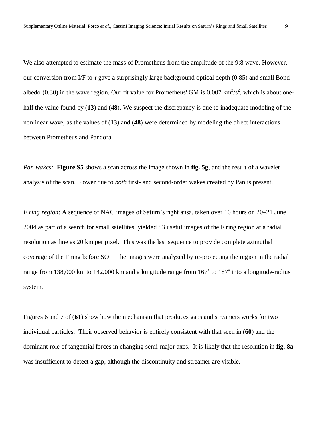We also attempted to estimate the mass of Prometheus from the amplitude of the 9:8 wave. However, our conversion from I/F to  $\tau$  gave a surprisingly large background optical depth (0.85) and small Bond albedo (0.30) in the wave region. Our fit value for Prometheus' GM is 0.007  $\text{km}^3/\text{s}^2$ , which is about onehalf the value found by (**13**) and (**48**). We suspect the discrepancy is due to inadequate modeling of the nonlinear wave, as the values of (**13**) and (**48**) were determined by modeling the direct interactions between Prometheus and Pandora.

*Pan wakes:* **Figure S5** shows a scan across the image shown in **fig. 5g**, and the result of a wavelet analysis of the scan. Power due to *both* first- and second-order wakes created by Pan is present.

*F* ring region: A sequence of NAC images of Saturn's right ansa, taken over 16 hours on 20–21 June 2004 as part of a search for small satellites, yielded 83 useful images of the F ring region at a radial resolution as fine as 20 km per pixel. This was the last sequence to provide complete azimuthal coverage of the F ring before SOI. The images were analyzed by re-projecting the region in the radial range from 138,000 km to 142,000 km and a longitude range from 167˚ to 187˚ into a longitude-radius system.

Figures 6 and 7 of (**61**) show how the mechanism that produces gaps and streamers works for two individual particles. Their observed behavior is entirely consistent with that seen in (**60**) and the dominant role of tangential forces in changing semi-major axes. It is likely that the resolution in **fig. 8a** was insufficient to detect a gap, although the discontinuity and streamer are visible.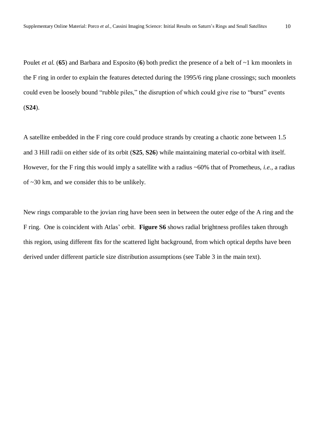Poulet *et al.* (**65**) and Barbara and Esposito (**6**) both predict the presence of a belt of ~1 km moonlets in the F ring in order to explain the features detected during the 1995/6 ring plane crossings; such moonlets could even be loosely bound "rubble piles," the disruption of which could give rise to "burst" events (**S24**).

A satellite embedded in the F ring core could produce strands by creating a chaotic zone between 1.5 and 3 Hill radii on either side of its orbit (**S25**, **S26**) while maintaining material co-orbital with itself. However, for the F ring this would imply a satellite with a radius ~60% that of Prometheus, *i.e.*, a radius of ~30 km, and we consider this to be unlikely.

New rings comparable to the jovian ring have been seen in between the outer edge of the A ring and the F ring. One is coincident with Atlas' orbit. **Figure S6** shows radial brightness profiles taken through this region, using different fits for the scattered light background, from which optical depths have been derived under different particle size distribution assumptions (see Table 3 in the main text).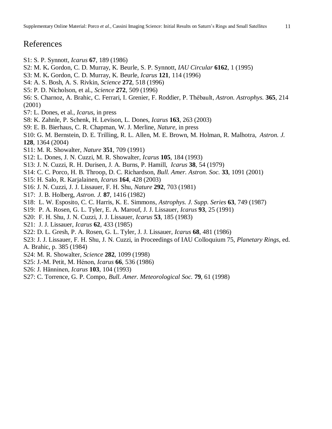# References

- S1: S. P. Synnott, *Icarus* **67**, 189 (1986)
- S2: M. K**.** Gordon, C. D. Murray, K. Beurle, S. P. Synnott, *IAU Circular* **6162**, 1 (1995)
- S3: M. K**.** Gordon, C. D. Murray, K. Beurle, *Icarus* **121**, 114 (1996)
- S4: A. S. Bosh, A. S. Rivkin, *Science* **272**, 518 (1996)
- S5: P. D. Nicholson, et al., *Science* **272**, 509 (1996)
- S6: S. Charnoz, A. Brahic, C. Ferrari, I. Grenier, F. Roddier, P. ThÈbault, *Astron. Astrophys.* **365**, 214 (2001)
- S7: L. Dones, et al., *Icarus*, in press
- S8: K. Zahnle, P. Schenk, H. Levison, L. Dones, *Icarus* **163**, 263 (2003)
- S9: E. B. Bierhaus, C. R. Chapman, W. J. Merline, *Nature*, in press
- S10: G. M. Bernstein, D. E. Trilling, R. L. Allen, M. E. Brown, M. Holman, R. Malhotra, *Astron. J.* **128**, 1364 (2004)
- S11: M. R. Showalter, *Nature* **351**, 709 (1991)
- S12: L. Dones, J. N. Cuzzi, M. R. Showalter, *Icarus* **105**, 184 (1993)
- S13: J. N. Cuzzi, R. H. Durisen, J. A. Burns, P. Hamill, *Icarus* **38**, 54 (1979)
- S14: C. C. Porco, H. B. Throop, D. C. Richardson, *Bull. Amer. Astron. Soc.* **33**, 1091 (2001)
- S15: H. Salo, R. Karjalainen, *Icarus* **164**, 428 (2003)
- S16: J. N. Cuzzi, J. J. Lissauer, F. H. Shu, *Nature* **292**, 703 (1981)
- S17: J. B. Holberg, *Astron. J.* **87**, 1416 (1982)
- S18: L. W. Esposito, C. C. Harris, K. E. Simmons, *Astrophys. J. Supp. Series* **63**, 749 (1987)
- S19: P. A. Rosen, G. L. Tyler, E. A. Marouf, J. J. Lissauer, *Icarus* **93**, 25 (1991)
- S20: F. H. Shu, J. N. Cuzzi, J. J. Lissauer, *Icarus* **53**, 185 (1983)
- S21: J. J. Lissauer, *Icarus* **62**, 433 (1985)
- S22: D. L. Gresh, P. A. Rosen, G. L. Tyler, J. J. Lissauer, *Icarus* **68**, 481 (1986)
- S23: J. J. Lissauer, F. H. Shu, J. N. Cuzzi, in Proceedings of IAU Colloquium 75, *Planetary Rings*, ed.
- A. Brahic, p. 385 (1984)
- S24: M. R. Showalter, *Science* **282**, 1099 (1998)
- S25: J.-M. Petit, M. HÈnon, *Icarus* **66**, 536 (1986)
- S26: J. H‰nninen, *Icarus* **103**, 104 (1993)
- S27: C. Torrence, G. P. Compo, *Bull. Amer. Meteorological Soc.* **79**, 61 (1998)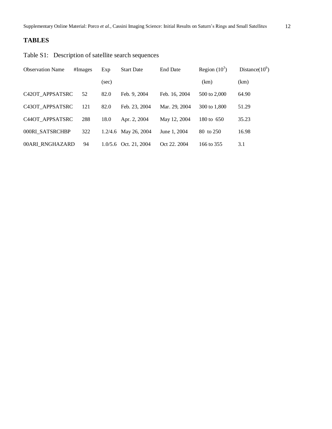# **TABLES**

Table S1: Description of satellite search sequences

| <b>Observation Name</b> | #Images | Exp   | <b>Start Date</b>       | <b>End Date</b> | Region $(10^3)$ | Distance $(10^6)$ |
|-------------------------|---------|-------|-------------------------|-----------------|-----------------|-------------------|
|                         |         | (sec) |                         |                 | (km)            | (km)              |
| C42OT APPSATSRC         | 52      | 82.0  | Feb. 9, 2004            | Feb. 16, 2004   | 500 to 2,000    | 64.90             |
| C43OT APPSATSRC         | 121     | 82.0  | Feb. 23, 2004           | Mar. 29, 2004   | 300 to 1,800    | 51.29             |
| C44OT APPSATSRC         | 288     | 18.0  | Apr. 2, 2004            | May 12, 2004    | 180 to 650      | 35.23             |
| 000RI SATSRCHBP         | 322     |       | 1.2/4.6 May 26, 2004    | June 1, 2004    | 80 to 250       | 16.98             |
| 00ARI RNGHAZARD         | 94      |       | $1.0/5.6$ Oct. 21, 2004 | Oct 22, 2004    | 166 to 355      | 3.1               |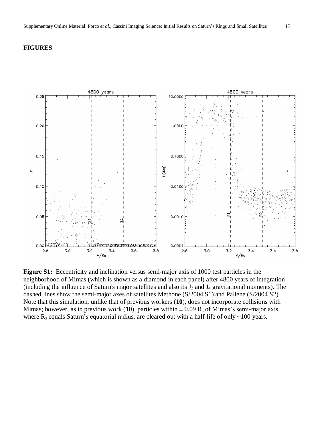## **FIGURES**



**Figure S1:** Eccentricity and inclination versus semi-major axis of 1000 test particles in the neighborhood of Mimas (which is shown as a diamond in each panel) after 4800 years of integration (including the influence of Saturn's major satellites and also its  $J_2$  and  $J_4$  gravitational moments). The dashed lines show the semi-major axes of satellites Methone (S/2004 S1) and Pallene (S/2004 S2). Note that this simulation, unlike that of previous workers (**10**), does not incorporate collisions with Mimas; however, as in previous work (10), particles within  $\pm$  0.09 R<sub>s</sub> of Mimas's semi-major axis, where  $R_s$  equals Saturn's equatorial radius, are cleared out with a half-life of only  $\sim$ 100 years.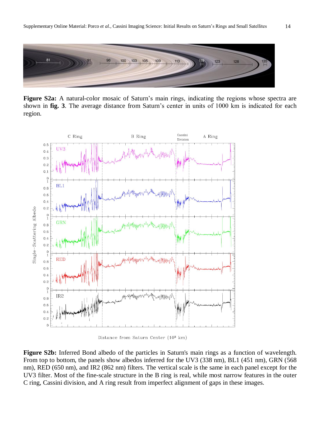

Figure S2a: A natural-color mosaic of Saturn's main rings, indicating the regions whose spectra are shown in fig. 3. The average distance from Saturn's center in units of 1000 km is indicated for each region.



Distance from Saturn Center (103 km)

**Figure S2b:** Inferred Bond albedo of the particles in Saturn's main rings as a function of wavelength. From top to bottom, the panels show albedos inferred for the UV3 (338 nm), BL1 (451 nm), GRN (568 nm), RED (650 nm), and IR2 (862 nm) filters. The vertical scale is the same in each panel except for the UV3 filter. Most of the fine-scale structure in the B ring is real, while most narrow features in the outer C ring, Cassini division, and A ring result from imperfect alignment of gaps in these images.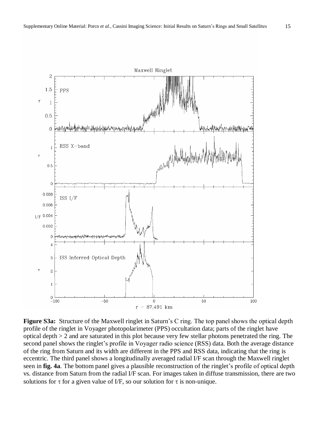

**Figure S3a:** Structure of the Maxwell ringlet in Saturn's C ring. The top panel shows the optical depth profile of the ringlet in Voyager photopolarimeter (PPS) occultation data; parts of the ringlet have optical depth > 2 and are saturated in this plot because very few stellar photons penetrated the ring. The second panel shows the ringlet's profile in Voyager radio science (RSS) data. Both the average distance of the ring from Saturn and its width are different in the PPS and RSS data, indicating that the ring is eccentric. The third panel shows a longitudinally averaged radial I/F scan through the Maxwell ringlet seen in **fig. 4a**. The bottom panel gives a plausible reconstruction of the ringlet's profile of optical depth vs. distance from Saturn from the radial I/F scan. For images taken in diffuse transmission, there are two solutions for  $\tau$  for a given value of I/F, so our solution for  $\tau$  is non-unique.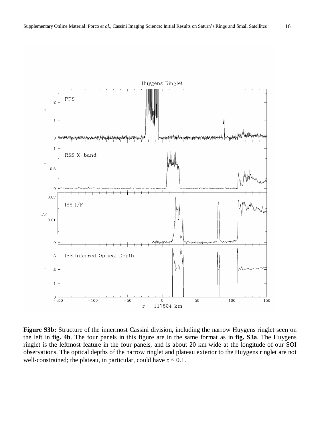

 $\overline{1}$ 

 $\rm I/F$ 

 $\overline{1}$ 

 $\overline{1}$ 

 $\mathbf 0$  $-150$ 

 $-100$ 

 $-50$ 

**Figure S3b:** Structure of the innermost Cassini division, including the narrow Huygens ringlet seen on the left in **fig. 4b**. The four panels in this figure are in the same format as in **fig. S3a**. The Huygens ringlet is the leftmost feature in the four panels, and is about 20 km wide at the longitude of our SOI observations. The optical depths of the narrow ringlet and plateau exterior to the Huygens ringlet are not well-constrained; the plateau, in particular, could have  $\tau \sim 0.1$ .

 $\mathbf 0$ 

 $r - 117824$  km

50

100

150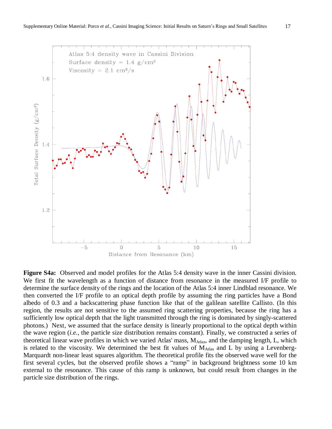

**Figure S4a:** Observed and model profiles for the Atlas 5:4 density wave in the inner Cassini division. We first fit the wavelength as a function of distance from resonance in the measured I/F profile to determine the surface density of the rings and the location of the Atlas 5:4 inner Lindblad resonance. We then converted the I/F profile to an optical depth profile by assuming the ring particles have a Bond albedo of 0.3 and a backscattering phase function like that of the galilean satellite Callisto. (In this region, the results are not sensitive to the assumed ring scattering properties, because the ring has a sufficiently low optical depth that the light transmitted through the ring is dominated by singly-scattered photons.) Next, we assumed that the surface density is linearly proportional to the optical depth within the wave region (*i.e.*, the particle size distribution remains constant). Finally, we constructed a series of theoretical linear wave profiles in which we varied Atlas' mass, MA<sub>tlas</sub>, and the damping length, L, which is related to the viscosity. We determined the best fit values of  $M_{\text{Atlas}}$  and L by using a Levenberg-Marquardt non-linear least squares algorithm. The theoretical profile fits the observed wave well for the first several cycles, but the observed profile shows a "ramp" in background brightness some 10 km external to the resonance. This cause of this ramp is unknown, but could result from changes in the particle size distribution of the rings.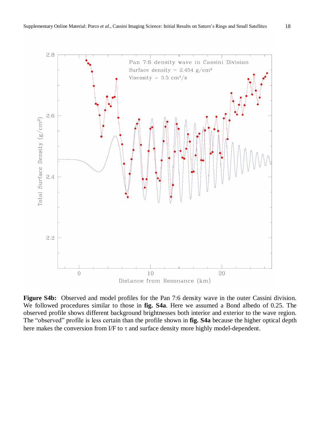

**Figure S4b:** Observed and model profiles for the Pan 7:6 density wave in the outer Cassini division. We followed procedures similar to those in **fig. S4a**. Here we assumed a Bond albedo of 0.25. The observed profile shows different background brightnesses both interior and exterior to the wave region. The "observed" profile is less certain than the profile shown in **fig. S4a** because the higher optical depth here makes the conversion from I/F to  $\tau$  and surface density more highly model-dependent.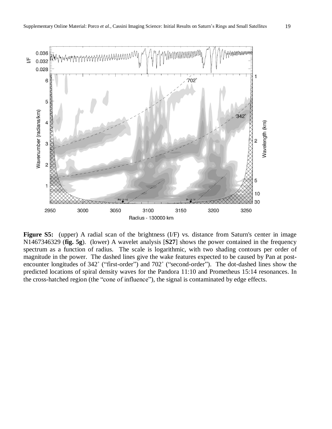

**Figure S5:** (upper) A radial scan of the brightness (I/F) vs. distance from Saturn's center in image N1467346329 (**fig. 5g**). (lower) A wavelet analysis [**S27**] shows the power contained in the frequency spectrum as a function of radius. The scale is logarithmic, with two shading contours per order of magnitude in the power. The dashed lines give the wake features expected to be caused by Pan at post encounter longitudes of 342° ("first-order") and 702° ("second-order"). The dot-dashed lines show the predicted locations of spiral density waves for the Pandora 11:10 and Prometheus 15:14 resonances. In the cross-hatched region (the "cone of influence"), the signal is contaminated by edge effects.